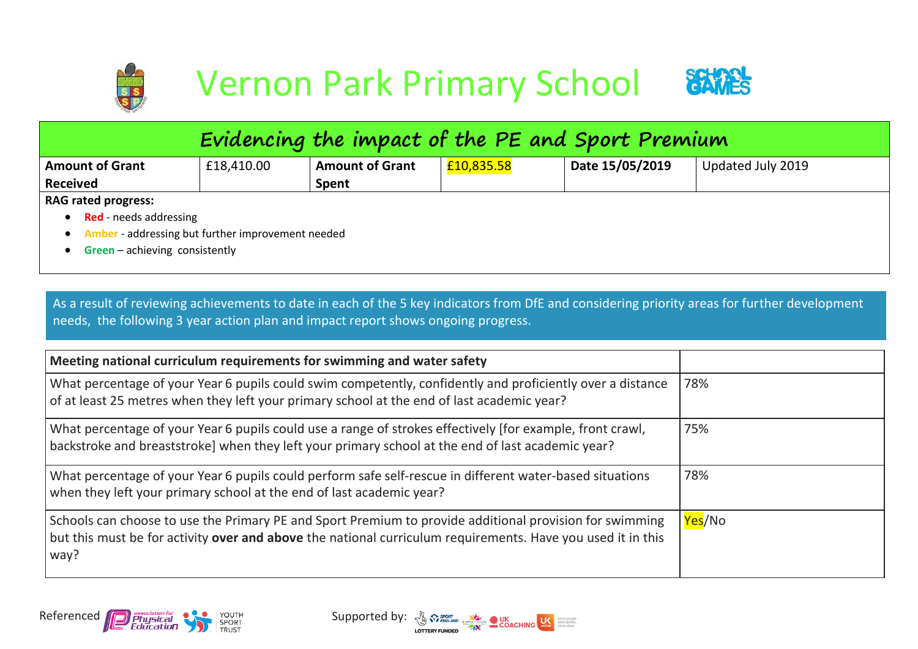

| Evidencing the impact of the PE and Sport Premium   |                                |                        |            |                 |                   |  |  |  |
|-----------------------------------------------------|--------------------------------|------------------------|------------|-----------------|-------------------|--|--|--|
| <b>Amount of Grant</b>                              | £18,410.00                     | <b>Amount of Grant</b> | £10,835.58 | Date 15/05/2019 | Updated July 2019 |  |  |  |
| <b>Received</b>                                     |                                | Spent                  |            |                 |                   |  |  |  |
| <b>RAG rated progress:</b>                          |                                |                        |            |                 |                   |  |  |  |
| <b>Red</b> - needs addressing                       |                                |                        |            |                 |                   |  |  |  |
| • Amber - addressing but further improvement needed |                                |                        |            |                 |                   |  |  |  |
|                                                     | Green - achieving consistently |                        |            |                 |                   |  |  |  |

As a result of reviewing achievements to date in each of the 5 key indicators from DfE and considering priority areas for further development needs, the following 3 year action plan and impact report shows ongoing progress.

| Meeting national curriculum requirements for swimming and water safety                                                                                                                                                         |                      |
|--------------------------------------------------------------------------------------------------------------------------------------------------------------------------------------------------------------------------------|----------------------|
| What percentage of your Year 6 pupils could swim competently, confidently and proficiently over a distance<br>of at least 25 metres when they left your primary school at the end of last academic year?                       | 78%                  |
| What percentage of your Year 6 pupils could use a range of strokes effectively [for example, front crawl,<br>backstroke and breaststroke] when they left your primary school at the end of last academic year?                 | 75%                  |
| What percentage of your Year 6 pupils could perform safe self-rescue in different water-based situations<br>when they left your primary school at the end of last academic year?                                               | 78%                  |
| Schools can choose to use the Primary PE and Sport Premium to provide additional provision for swimming<br>but this must be for activity over and above the national curriculum requirements. Have you used it in this<br>way? | <mark>Yes</mark> /No |



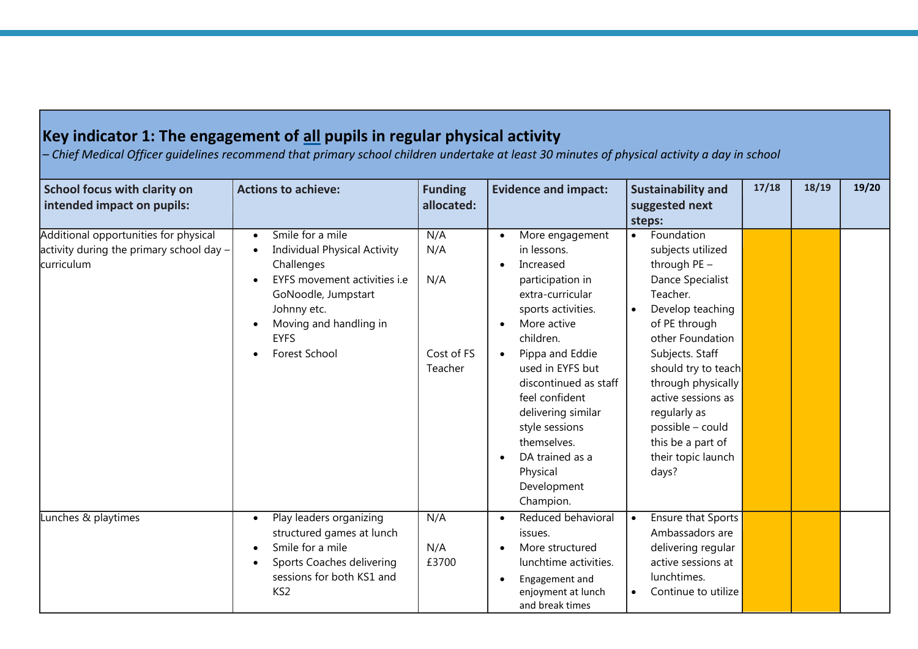## **Key indicator 1: The engagement of all pupils in regular physical activity**

*– Chief Medical Officer guidelines recommend that primary school children undertake at least 30 minutes of physical activity a day in school*

| School focus with clarity on<br>intended impact on pupils:                                        | <b>Actions to achieve:</b>                                                                                                                                                                                         | <b>Funding</b><br>allocated:               | <b>Evidence and impact:</b>                                                                                                                                                                                                                                                                                                                                                      | <b>Sustainability and</b><br>suggested next<br>steps:                                                                                                                                                                                                                                                                                            | 17/18 | 18/19 | 19/20 |
|---------------------------------------------------------------------------------------------------|--------------------------------------------------------------------------------------------------------------------------------------------------------------------------------------------------------------------|--------------------------------------------|----------------------------------------------------------------------------------------------------------------------------------------------------------------------------------------------------------------------------------------------------------------------------------------------------------------------------------------------------------------------------------|--------------------------------------------------------------------------------------------------------------------------------------------------------------------------------------------------------------------------------------------------------------------------------------------------------------------------------------------------|-------|-------|-------|
| Additional opportunities for physical<br>activity during the primary school day $-$<br>curriculum | Smile for a mile<br>$\bullet$<br><b>Individual Physical Activity</b><br>Challenges<br>EYFS movement activities i.e<br>GoNoodle, Jumpstart<br>Johnny etc.<br>Moving and handling in<br><b>EYFS</b><br>Forest School | N/A<br>N/A<br>N/A<br>Cost of FS<br>Teacher | More engagement<br>$\bullet$<br>in lessons.<br>Increased<br>$\bullet$<br>participation in<br>extra-curricular<br>sports activities.<br>More active<br>children.<br>Pippa and Eddie<br>used in EYFS but<br>discontinued as staff<br>feel confident<br>delivering similar<br>style sessions<br>themselves.<br>DA trained as a<br>$\bullet$<br>Physical<br>Development<br>Champion. | Foundation<br>$\bullet$<br>subjects utilized<br>through PE -<br>Dance Specialist<br>Teacher.<br>Develop teaching<br>$\bullet$<br>of PE through<br>other Foundation<br>Subjects. Staff<br>should try to teach<br>through physically<br>active sessions as<br>regularly as<br>possible - could<br>this be a part of<br>their topic launch<br>days? |       |       |       |
| Lunches & playtimes                                                                               | Play leaders organizing<br>$\bullet$<br>structured games at lunch<br>Smile for a mile<br>Sports Coaches delivering<br>sessions for both KS1 and<br>KS <sub>2</sub>                                                 | N/A<br>N/A<br>£3700                        | Reduced behavioral<br>issues.<br>More structured<br>lunchtime activities.<br>Engagement and<br>$\bullet$<br>enjoyment at lunch<br>and break times                                                                                                                                                                                                                                | Ensure that Sports<br>$\bullet$<br>Ambassadors are<br>delivering regular<br>active sessions at<br>lunchtimes.<br>Continue to utilize<br>$\bullet$                                                                                                                                                                                                |       |       |       |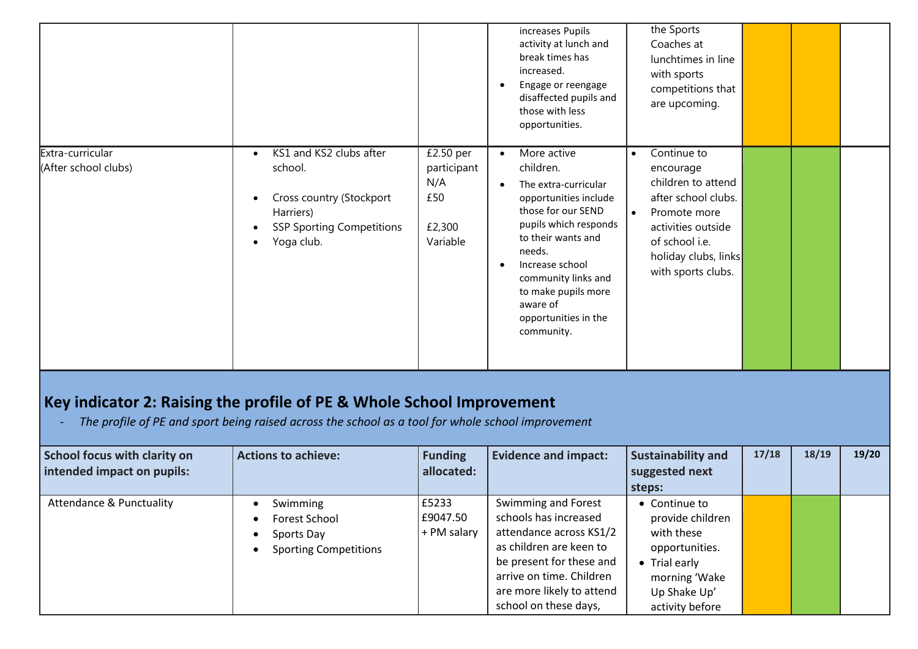|                                          |                                                                                                                                            |                                                              | increases Pupils<br>activity at lunch and<br>break times has<br>increased.<br>Engage or reengage<br>disaffected pupils and<br>those with less<br>opportunities.                                                                                                             | the Sports<br>Coaches at<br>lunchtimes in line<br>with sports<br>competitions that<br>are upcoming.                                                                                                   |  |  |
|------------------------------------------|--------------------------------------------------------------------------------------------------------------------------------------------|--------------------------------------------------------------|-----------------------------------------------------------------------------------------------------------------------------------------------------------------------------------------------------------------------------------------------------------------------------|-------------------------------------------------------------------------------------------------------------------------------------------------------------------------------------------------------|--|--|
| Extra-curricular<br>(After school clubs) | KS1 and KS2 clubs after<br>$\bullet$<br>school.<br>Cross country (Stockport<br>Harriers)<br><b>SSP Sporting Competitions</b><br>Yoga club. | £2.50 per<br>participant<br>N/A<br>£50<br>£2,300<br>Variable | More active<br>children.<br>The extra-curricular<br>opportunities include<br>those for our SEND<br>pupils which responds<br>to their wants and<br>needs.<br>Increase school<br>community links and<br>to make pupils more<br>aware of<br>opportunities in the<br>community. | Continue to<br>$\bullet$<br>encourage<br>children to attend<br>after school clubs.<br>$\bullet$<br>Promote more<br>activities outside<br>of school i.e.<br>holiday clubs, links<br>with sports clubs. |  |  |

## **Key indicator 2: Raising the profile of PE & Whole School Improvement**

*- The profile of PE and sport being raised across the school as a tool for whole school improvement*

| <b>School focus with clarity on</b><br>intended impact on pupils: | <b>Actions to achieve:</b>                                              | <b>Funding</b><br>allocated:     | <b>Evidence and impact:</b>                                                                                                                                                                                      | <b>Sustainability and</b><br>suggested next<br>steps:                                                                                  | 17/18 | 18/19 | 19/20 |
|-------------------------------------------------------------------|-------------------------------------------------------------------------|----------------------------------|------------------------------------------------------------------------------------------------------------------------------------------------------------------------------------------------------------------|----------------------------------------------------------------------------------------------------------------------------------------|-------|-------|-------|
| <b>Attendance &amp; Punctuality</b>                               | Swimming<br>Forest School<br>Sports Day<br><b>Sporting Competitions</b> | E5233<br>E9047.50<br>+ PM salary | Swimming and Forest<br>schools has increased<br>attendance across KS1/2<br>as children are keen to<br>be present for these and<br>arrive on time. Children<br>are more likely to attend<br>school on these days, | • Continue to<br>provide children<br>with these<br>opportunities.<br>• Trial early<br>morning 'Wake<br>Up Shake Up'<br>activity before |       |       |       |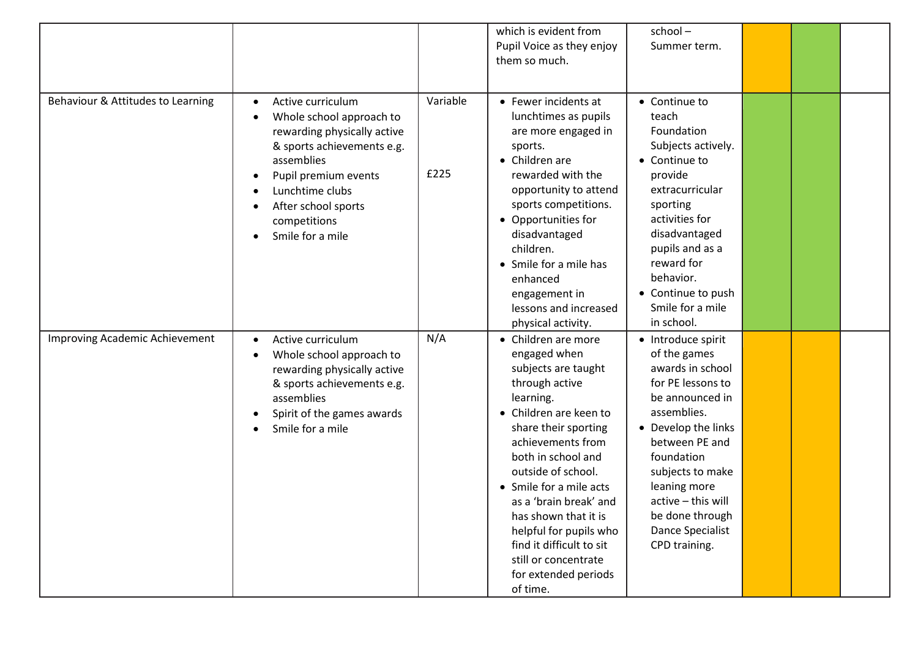|                                   |                                                                                                                                                                                                                                             |                  | which is evident from<br>Pupil Voice as they enjoy<br>them so much.                                                                                                                                                                                                                                                                                                                                         | school-<br>Summer term.                                                                                                                                                                                                                                                                |  |  |
|-----------------------------------|---------------------------------------------------------------------------------------------------------------------------------------------------------------------------------------------------------------------------------------------|------------------|-------------------------------------------------------------------------------------------------------------------------------------------------------------------------------------------------------------------------------------------------------------------------------------------------------------------------------------------------------------------------------------------------------------|----------------------------------------------------------------------------------------------------------------------------------------------------------------------------------------------------------------------------------------------------------------------------------------|--|--|
|                                   |                                                                                                                                                                                                                                             |                  |                                                                                                                                                                                                                                                                                                                                                                                                             |                                                                                                                                                                                                                                                                                        |  |  |
| Behaviour & Attitudes to Learning | Active curriculum<br>$\bullet$<br>Whole school approach to<br>rewarding physically active<br>& sports achievements e.g.<br>assemblies<br>Pupil premium events<br>Lunchtime clubs<br>After school sports<br>competitions<br>Smile for a mile | Variable<br>£225 | • Fewer incidents at<br>lunchtimes as pupils<br>are more engaged in<br>sports.<br>• Children are<br>rewarded with the<br>opportunity to attend<br>sports competitions.<br>• Opportunities for<br>disadvantaged<br>children.<br>• Smile for a mile has<br>enhanced<br>engagement in<br>lessons and increased<br>physical activity.                                                                           | • Continue to<br>teach<br>Foundation<br>Subjects actively.<br>• Continue to<br>provide<br>extracurricular<br>sporting<br>activities for<br>disadvantaged<br>pupils and as a<br>reward for<br>behavior.<br>• Continue to push<br>Smile for a mile<br>in school.                         |  |  |
| Improving Academic Achievement    | Active curriculum<br>$\bullet$<br>Whole school approach to<br>rewarding physically active<br>& sports achievements e.g.<br>assemblies<br>Spirit of the games awards<br>Smile for a mile                                                     | N/A              | • Children are more<br>engaged when<br>subjects are taught<br>through active<br>learning.<br>• Children are keen to<br>share their sporting<br>achievements from<br>both in school and<br>outside of school.<br>• Smile for a mile acts<br>as a 'brain break' and<br>has shown that it is<br>helpful for pupils who<br>find it difficult to sit<br>still or concentrate<br>for extended periods<br>of time. | • Introduce spirit<br>of the games<br>awards in school<br>for PE lessons to<br>be announced in<br>assemblies.<br>• Develop the links<br>between PE and<br>foundation<br>subjects to make<br>leaning more<br>active - this will<br>be done through<br>Dance Specialist<br>CPD training. |  |  |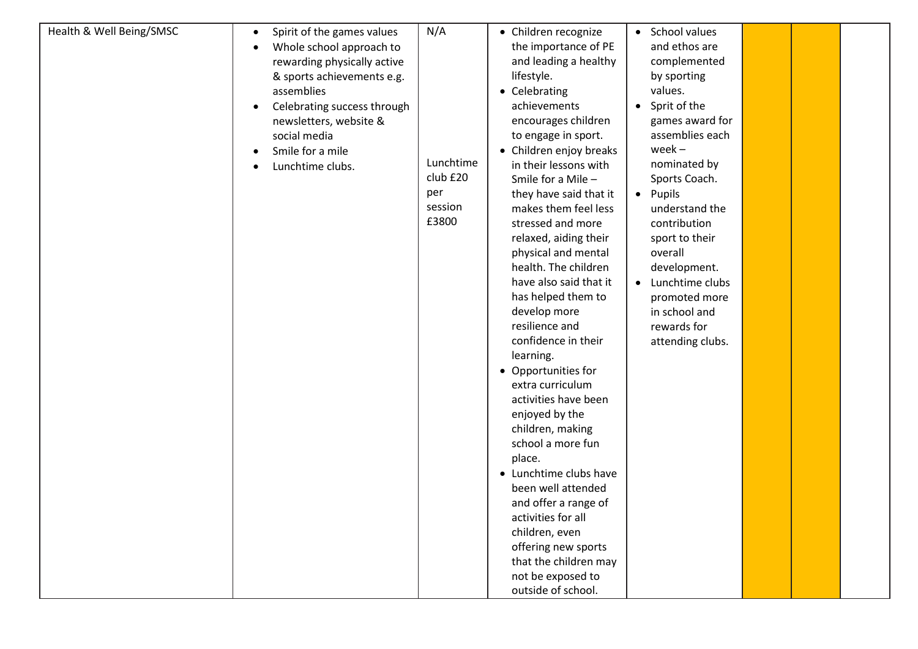| Health & Well Being/SMSC | Spirit of the games values<br>$\bullet$<br>Whole school approach to<br>rewarding physically active<br>& sports achievements e.g.<br>assemblies<br>Celebrating success through<br>newsletters, website &<br>social media<br>Smile for a mile<br>Lunchtime clubs. | N/A<br>Lunchtime<br>club £20<br>per<br>session<br>£3800 | • Children recognize<br>the importance of PE<br>and leading a healthy<br>lifestyle.<br>• Celebrating<br>achievements<br>encourages children<br>to engage in sport.<br>• Children enjoy breaks<br>in their lessons with<br>Smile for a Mile -<br>they have said that it<br>makes them feel less<br>stressed and more<br>relaxed, aiding their<br>physical and mental<br>health. The children<br>have also said that it<br>has helped them to<br>develop more<br>resilience and<br>confidence in their<br>learning.<br>• Opportunities for<br>extra curriculum<br>activities have been<br>enjoyed by the<br>children, making<br>school a more fun<br>place.<br>• Lunchtime clubs have<br>been well attended<br>and offer a range of<br>activities for all<br>children, even<br>offering new sports<br>that the children may<br>not be exposed to<br>outside of school. | • School values<br>and ethos are<br>complemented<br>by sporting<br>values.<br>• Sprit of the<br>games award for<br>assemblies each<br>$week -$<br>nominated by<br>Sports Coach.<br>• Pupils<br>understand the<br>contribution<br>sport to their<br>overall<br>development.<br>• Lunchtime clubs<br>promoted more<br>in school and<br>rewards for<br>attending clubs. |  |  |  |
|--------------------------|-----------------------------------------------------------------------------------------------------------------------------------------------------------------------------------------------------------------------------------------------------------------|---------------------------------------------------------|----------------------------------------------------------------------------------------------------------------------------------------------------------------------------------------------------------------------------------------------------------------------------------------------------------------------------------------------------------------------------------------------------------------------------------------------------------------------------------------------------------------------------------------------------------------------------------------------------------------------------------------------------------------------------------------------------------------------------------------------------------------------------------------------------------------------------------------------------------------------|----------------------------------------------------------------------------------------------------------------------------------------------------------------------------------------------------------------------------------------------------------------------------------------------------------------------------------------------------------------------|--|--|--|
|--------------------------|-----------------------------------------------------------------------------------------------------------------------------------------------------------------------------------------------------------------------------------------------------------------|---------------------------------------------------------|----------------------------------------------------------------------------------------------------------------------------------------------------------------------------------------------------------------------------------------------------------------------------------------------------------------------------------------------------------------------------------------------------------------------------------------------------------------------------------------------------------------------------------------------------------------------------------------------------------------------------------------------------------------------------------------------------------------------------------------------------------------------------------------------------------------------------------------------------------------------|----------------------------------------------------------------------------------------------------------------------------------------------------------------------------------------------------------------------------------------------------------------------------------------------------------------------------------------------------------------------|--|--|--|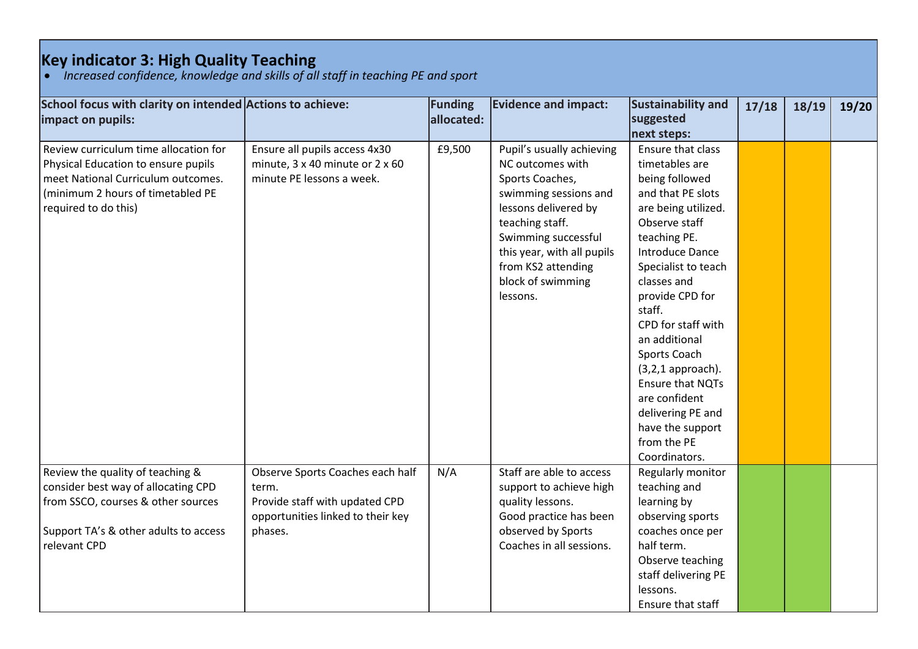## **Key indicator 3: High Quality Teaching**

*Increased confidence, knowledge and skills of all staff in teaching PE and sport*

| School focus with clarity on intended Actions to achieve: |                                   | Funding    | <b>Evidence and impact:</b> | Sustainability and                       | 17/18 | 18/19 | 19/20 |
|-----------------------------------------------------------|-----------------------------------|------------|-----------------------------|------------------------------------------|-------|-------|-------|
| impact on pupils:                                         |                                   | allocated: |                             | suggested                                |       |       |       |
|                                                           |                                   |            |                             | next steps:                              |       |       |       |
| Review curriculum time allocation for                     | Ensure all pupils access 4x30     | £9,500     | Pupil's usually achieving   | Ensure that class                        |       |       |       |
| Physical Education to ensure pupils                       | minute, 3 x 40 minute or 2 x 60   |            | NC outcomes with            | timetables are                           |       |       |       |
| meet National Curriculum outcomes.                        | minute PE lessons a week.         |            | Sports Coaches,             | being followed                           |       |       |       |
| (minimum 2 hours of timetabled PE                         |                                   |            | swimming sessions and       | and that PE slots                        |       |       |       |
| required to do this)                                      |                                   |            | lessons delivered by        | are being utilized.                      |       |       |       |
|                                                           |                                   |            | teaching staff.             | Observe staff                            |       |       |       |
|                                                           |                                   |            | Swimming successful         | teaching PE.                             |       |       |       |
|                                                           |                                   |            | this year, with all pupils  | <b>Introduce Dance</b>                   |       |       |       |
|                                                           |                                   |            | from KS2 attending          | Specialist to teach                      |       |       |       |
|                                                           |                                   |            | block of swimming           | classes and                              |       |       |       |
|                                                           |                                   |            | lessons.                    | provide CPD for                          |       |       |       |
|                                                           |                                   |            |                             | staff.                                   |       |       |       |
|                                                           |                                   |            |                             | CPD for staff with                       |       |       |       |
|                                                           |                                   |            |                             | an additional                            |       |       |       |
|                                                           |                                   |            |                             | Sports Coach                             |       |       |       |
|                                                           |                                   |            |                             | $(3,2,1)$ approach).<br>Ensure that NQTs |       |       |       |
|                                                           |                                   |            |                             | are confident                            |       |       |       |
|                                                           |                                   |            |                             | delivering PE and                        |       |       |       |
|                                                           |                                   |            |                             | have the support                         |       |       |       |
|                                                           |                                   |            |                             | from the PE                              |       |       |       |
|                                                           |                                   |            |                             | Coordinators.                            |       |       |       |
| Review the quality of teaching &                          | Observe Sports Coaches each half  | N/A        | Staff are able to access    | Regularly monitor                        |       |       |       |
| consider best way of allocating CPD                       | term.                             |            | support to achieve high     | teaching and                             |       |       |       |
| from SSCO, courses & other sources                        | Provide staff with updated CPD    |            | quality lessons.            | learning by                              |       |       |       |
|                                                           | opportunities linked to their key |            | Good practice has been      | observing sports                         |       |       |       |
| Support TA's & other adults to access                     | phases.                           |            | observed by Sports          | coaches once per                         |       |       |       |
| relevant CPD                                              |                                   |            | Coaches in all sessions.    | half term.                               |       |       |       |
|                                                           |                                   |            |                             | Observe teaching                         |       |       |       |
|                                                           |                                   |            |                             | staff delivering PE                      |       |       |       |
|                                                           |                                   |            |                             | lessons.                                 |       |       |       |
|                                                           |                                   |            |                             | Ensure that staff                        |       |       |       |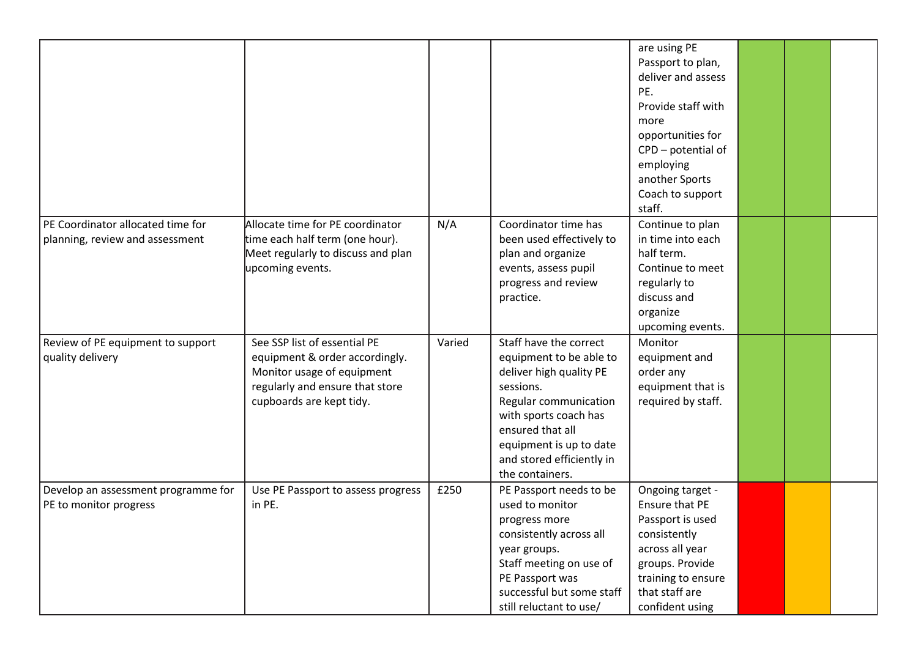|                                                                      |                                                                                                                                                             |        |                                                                                                                                                                                                                                            | are using PE<br>Passport to plan,<br>deliver and assess<br>PE.<br>Provide staff with<br>more<br>opportunities for<br>CPD - potential of<br>employing<br>another Sports<br>Coach to support<br>staff. |  |  |
|----------------------------------------------------------------------|-------------------------------------------------------------------------------------------------------------------------------------------------------------|--------|--------------------------------------------------------------------------------------------------------------------------------------------------------------------------------------------------------------------------------------------|------------------------------------------------------------------------------------------------------------------------------------------------------------------------------------------------------|--|--|
| PE Coordinator allocated time for<br>planning, review and assessment | Allocate time for PE coordinator<br>time each half term (one hour).<br>Meet regularly to discuss and plan<br>upcoming events.                               | N/A    | Coordinator time has<br>been used effectively to<br>plan and organize<br>events, assess pupil<br>progress and review<br>practice.                                                                                                          | Continue to plan<br>in time into each<br>half term.<br>Continue to meet<br>regularly to<br>discuss and<br>organize<br>upcoming events.                                                               |  |  |
| Review of PE equipment to support<br>quality delivery                | See SSP list of essential PE<br>equipment & order accordingly.<br>Monitor usage of equipment<br>regularly and ensure that store<br>cupboards are kept tidy. | Varied | Staff have the correct<br>equipment to be able to<br>deliver high quality PE<br>sessions.<br>Regular communication<br>with sports coach has<br>ensured that all<br>equipment is up to date<br>and stored efficiently in<br>the containers. | Monitor<br>equipment and<br>order any<br>equipment that is<br>required by staff.                                                                                                                     |  |  |
| Develop an assessment programme for<br>PE to monitor progress        | Use PE Passport to assess progress<br>in PE.                                                                                                                | £250   | PE Passport needs to be<br>used to monitor<br>progress more<br>consistently across all<br>year groups.<br>Staff meeting on use of<br>PE Passport was<br>successful but some staff<br>still reluctant to use/                               | Ongoing target -<br>Ensure that PE<br>Passport is used<br>consistently<br>across all year<br>groups. Provide<br>training to ensure<br>that staff are<br>confident using                              |  |  |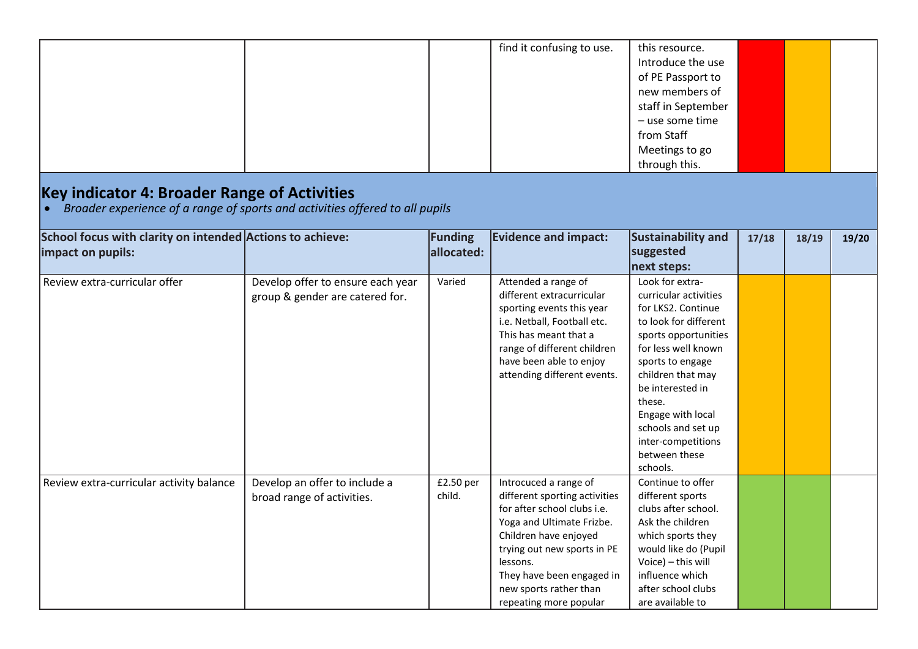|                                                                                |                                                                              |                       | find it confusing to use.                                                                                                                                                                                                                                                      | this resource.<br>Introduce the use<br>of PE Passport to<br>new members of<br>staff in September<br>- use some time<br>from Staff<br>Meetings to go<br>through this.                                                                                                                                        |       |       |       |
|--------------------------------------------------------------------------------|------------------------------------------------------------------------------|-----------------------|--------------------------------------------------------------------------------------------------------------------------------------------------------------------------------------------------------------------------------------------------------------------------------|-------------------------------------------------------------------------------------------------------------------------------------------------------------------------------------------------------------------------------------------------------------------------------------------------------------|-------|-------|-------|
| Key indicator 4: Broader Range of Activities                                   | Broader experience of a range of sports and activities offered to all pupils |                       |                                                                                                                                                                                                                                                                                |                                                                                                                                                                                                                                                                                                             |       |       |       |
| School focus with clarity on intended Actions to achieve:<br>impact on pupils: |                                                                              | Funding<br>allocated: | <b>Evidence and impact:</b>                                                                                                                                                                                                                                                    | Sustainability and<br>suggested<br>next steps:                                                                                                                                                                                                                                                              | 17/18 | 18/19 | 19/20 |
| Review extra-curricular offer                                                  | Develop offer to ensure each year<br>group & gender are catered for.         | Varied                | Attended a range of<br>different extracurricular<br>sporting events this year<br>i.e. Netball, Football etc.<br>This has meant that a<br>range of different children<br>have been able to enjoy<br>attending different events.                                                 | Look for extra-<br>curricular activities<br>for LKS2. Continue<br>to look for different<br>sports opportunities<br>for less well known<br>sports to engage<br>children that may<br>be interested in<br>these.<br>Engage with local<br>schools and set up<br>inter-competitions<br>between these<br>schools. |       |       |       |
| Review extra-curricular activity balance                                       | Develop an offer to include a<br>broad range of activities.                  | £2.50 per<br>child.   | Introcuced a range of<br>different sporting activities<br>for after school clubs <i>i.e.</i><br>Yoga and Ultimate Frizbe.<br>Children have enjoyed<br>trying out new sports in PE<br>lessons.<br>They have been engaged in<br>new sports rather than<br>repeating more popular | Continue to offer<br>different sports<br>clubs after school.<br>Ask the children<br>which sports they<br>would like do (Pupil<br>Voice) - this will<br>influence which<br>after school clubs<br>are available to                                                                                            |       |       |       |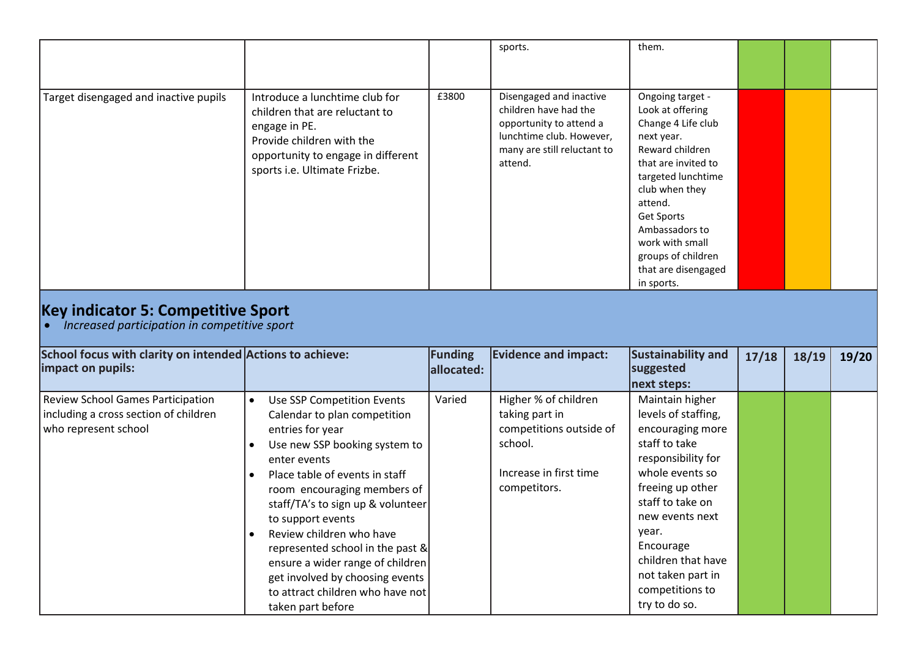|                                                                                                    |                                                                                                                                                                                                               |                       | sports.                                                                                                                                           | them.                                                                                                                                                                                                                                                                               |       |       |       |
|----------------------------------------------------------------------------------------------------|---------------------------------------------------------------------------------------------------------------------------------------------------------------------------------------------------------------|-----------------------|---------------------------------------------------------------------------------------------------------------------------------------------------|-------------------------------------------------------------------------------------------------------------------------------------------------------------------------------------------------------------------------------------------------------------------------------------|-------|-------|-------|
| Target disengaged and inactive pupils                                                              | Introduce a lunchtime club for<br>children that are reluctant to<br>engage in PE.<br>Provide children with the<br>opportunity to engage in different<br>sports i.e. Ultimate Frizbe.                          | £3800                 | Disengaged and inactive<br>children have had the<br>opportunity to attend a<br>lunchtime club. However,<br>many are still reluctant to<br>attend. | Ongoing target -<br>Look at offering<br>Change 4 Life club<br>next year.<br>Reward children<br>that are invited to<br>targeted lunchtime<br>club when they<br>attend.<br>Get Sports<br>Ambassadors to<br>work with small<br>groups of children<br>that are disengaged<br>in sports. |       |       |       |
| <b>Key indicator 5: Competitive Sport</b><br>Increased participation in competitive sport          |                                                                                                                                                                                                               |                       |                                                                                                                                                   |                                                                                                                                                                                                                                                                                     |       |       |       |
| School focus with clarity on intended Actions to achieve:<br>impact on pupils:                     |                                                                                                                                                                                                               | Funding<br>allocated: | <b>Evidence and impact:</b>                                                                                                                       | Sustainability and<br>suggested<br>next steps:                                                                                                                                                                                                                                      | 17/18 | 18/19 | 19/20 |
| Review School Games Participation<br>including a cross section of children<br>who represent school | Use SSP Competition Events<br>$\bullet$<br>Calendar to plan competition<br>entries for year<br>Use new SSP booking system to<br>enter events<br>Place table of events in staff<br>room encouraging members of | Varied                | Higher % of children<br>taking part in<br>competitions outside of<br>school.<br>Increase in first time<br>competitors.                            | Maintain higher<br>levels of staffing,<br>encouraging more<br>staff to take<br>responsibility for<br>whole events so<br>freeing up other                                                                                                                                            |       |       |       |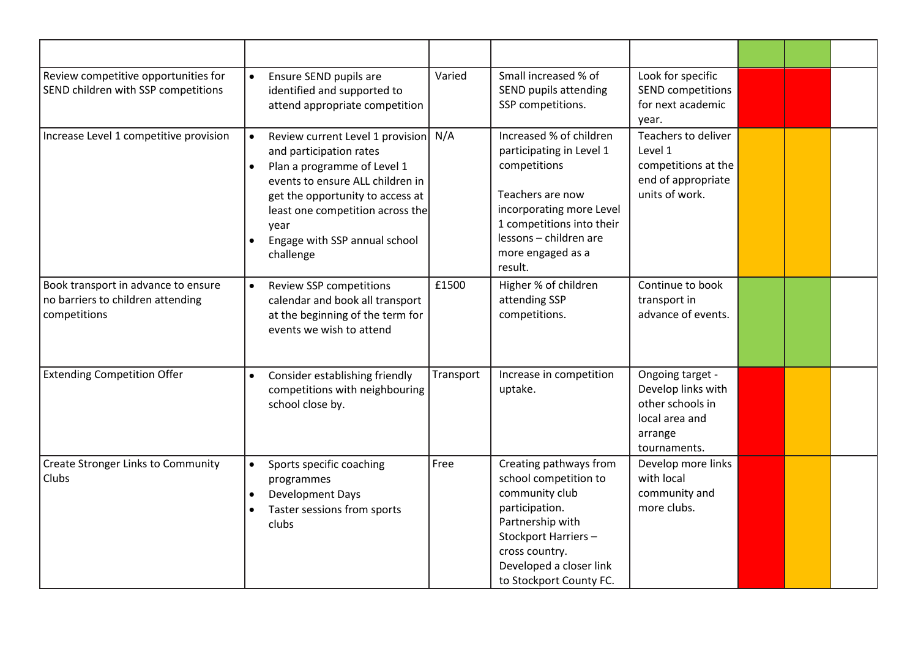| Review competitive opportunities for<br>SEND children with SSP competitions              | Ensure SEND pupils are<br>identified and supported to<br>attend appropriate competition                                                                                                                                                                                                             | Varied    | Small increased % of<br>SEND pupils attending<br>SSP competitions.                                                                                                                                         | Look for specific<br><b>SEND competitions</b><br>for next academic<br>year.                             |  |  |
|------------------------------------------------------------------------------------------|-----------------------------------------------------------------------------------------------------------------------------------------------------------------------------------------------------------------------------------------------------------------------------------------------------|-----------|------------------------------------------------------------------------------------------------------------------------------------------------------------------------------------------------------------|---------------------------------------------------------------------------------------------------------|--|--|
| Increase Level 1 competitive provision                                                   | Review current Level 1 provision<br>$\bullet$<br>and participation rates<br>Plan a programme of Level 1<br>$\bullet$<br>events to ensure ALL children in<br>get the opportunity to access at<br>least one competition across the<br>year<br>Engage with SSP annual school<br>$\bullet$<br>challenge | N/A       | Increased % of children<br>participating in Level 1<br>competitions<br>Teachers are now<br>incorporating more Level<br>1 competitions into their<br>lessons - children are<br>more engaged as a<br>result. | Teachers to deliver<br>Level 1<br>competitions at the<br>end of appropriate<br>units of work.           |  |  |
| Book transport in advance to ensure<br>no barriers to children attending<br>competitions | Review SSP competitions<br>$\bullet$<br>calendar and book all transport<br>at the beginning of the term for<br>events we wish to attend                                                                                                                                                             | £1500     | Higher % of children<br>attending SSP<br>competitions.                                                                                                                                                     | Continue to book<br>transport in<br>advance of events.                                                  |  |  |
| <b>Extending Competition Offer</b>                                                       | Consider establishing friendly<br>$\bullet$<br>competitions with neighbouring<br>school close by.                                                                                                                                                                                                   | Transport | Increase in competition<br>uptake.                                                                                                                                                                         | Ongoing target -<br>Develop links with<br>other schools in<br>local area and<br>arrange<br>tournaments. |  |  |
| <b>Create Stronger Links to Community</b><br>Clubs                                       | Sports specific coaching<br>$\bullet$<br>programmes<br><b>Development Days</b><br>Taster sessions from sports<br>clubs                                                                                                                                                                              | Free      | Creating pathways from<br>school competition to<br>community club<br>participation.<br>Partnership with<br>Stockport Harriers-<br>cross country.<br>Developed a closer link<br>to Stockport County FC.     | Develop more links<br>with local<br>community and<br>more clubs.                                        |  |  |